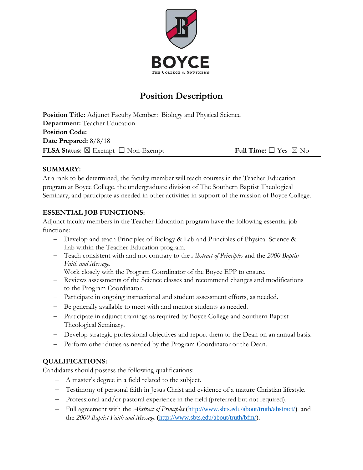

# **Position Description**

**Position Title:** Adjunct Faculty Member: Biology and Physical Science **Department:** Teacher Education **Position Code: Date Prepared:** 8/8/18 **FLSA Status:** ☒ Exempt ☐ Non-Exempt **Full Time:** ☐ Yes ☒ No

## **SUMMARY:**

At a rank to be determined, the faculty member will teach courses in the Teacher Education program at Boyce College, the undergraduate division of The Southern Baptist Theological Seminary, and participate as needed in other activities in support of the mission of Boyce College.

## **ESSENTIAL JOB FUNCTIONS:**

Adjunct faculty members in the Teacher Education program have the following essential job functions:

- Develop and teach Principles of Biology & Lab and Principles of Physical Science & Lab within the Teacher Education program.
- Teach consistent with and not contrary to the *Abstract of Principles* and the *2000 Baptist Faith and Message*.
- Work closely with the Program Coordinator of the Boyce EPP to ensure.
- Reviews assessments of the Science classes and recommend changes and modifications to the Program Coordinator.
- Participate in ongoing instructional and student assessment efforts, as needed.
- Be generally available to meet with and mentor students as needed.
- Participate in adjunct trainings as required by Boyce College and Southern Baptist Theological Seminary.
- Develop strategic professional objectives and report them to the Dean on an annual basis.
- Perform other duties as needed by the Program Coordinator or the Dean.

# **QUALIFICATIONS:**

Candidates should possess the following qualifications:

- A master's degree in a field related to the subject.
- Testimony of personal faith in Jesus Christ and evidence of a mature Christian lifestyle.
- Professional and/or pastoral experience in the field (preferred but not required).
- Full agreement with the *Abstract of Principles* [\(http://www.sbts.edu/about/truth/abstract/\)](http://www.sbts.edu/about/truth/abstract/) and the *2000 Baptist Faith and Message* [\(http://www.sbts.edu/about/truth/bfm/\)](http://www.sbts.edu/about/truth/bfm/).